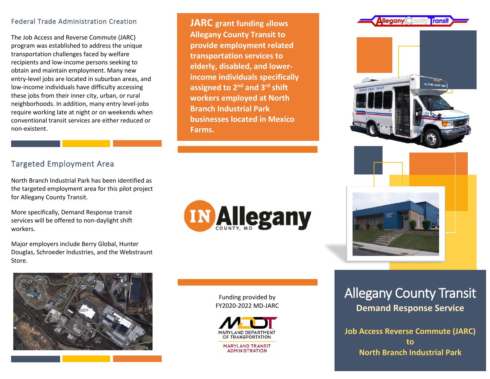## Federal Trade Administration Creation

The Job Access and Reverse Commute (JARC) program was established to address the unique transportation challenges faced by welfare recipients and low-income persons seeking to obtain and maintain employment. Many new entry-level jobs are located in suburban areas, and low-income individuals have difficulty accessing these jobs from their inner city, urban, or rural neighborhoods. In addition, many entry level-jobs require working late at night or on weekends when conventional transit services are either reduced or non-existent.

## **JARC grant funding allows Allegany County Transit to provide employment related transportation services to elderly, disabled, and lowerincome individuals specifically assigned to 2nd and 3rd shift workers employed at North Branch Industrial Park businesses located in Mexico Farms.**

## Targeted Employment Area

l

North Branch Industrial Park has been identified as the targeted employment area for this pilot project for Allegany County Transit.

More specifically, Demand Response transit services will be offered to non-daylight shift workers.

Major employers include Berry Global, Hunter Douglas, Schroeder Industries, and the Webstraunt Store.



Funding provided by FY2020-2022 MD-JARC



# Allegany County Transit **Demand Response Service**

**Job Access Reverse Commute (JARC) to North Branch Industrial Park**



 $\blacksquare$ lleaanv $\subset$ 

Transi